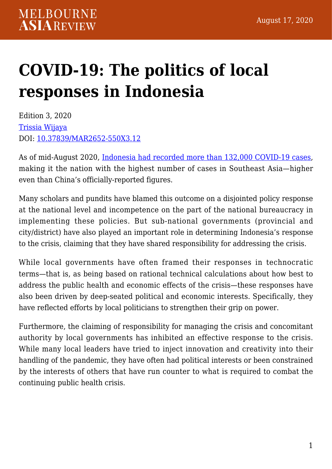## **[COVID-19: The politics of local](https://melbourneasiareview.edu.au/covid-19-the-politics-of-local-responses-in-indonesia/) [responses in Indonesia](https://melbourneasiareview.edu.au/covid-19-the-politics-of-local-responses-in-indonesia/)**

Edition 3, 2020 [Trissia Wijaya](http://murdoch.academia.edu/TrissiaWijaya) DOI: 10.37839/MAR2652-550X3.12

As of mid-August 2020, [Indonesia had recorded more than 132,000 COVID-19 cases,](https://coronavirus.jhu.edu/region/indonesia) making it the nation with the highest number of cases in Southeast Asia—higher even than China's officially-reported figures.

Many scholars and pundits have blamed this outcome on a disjointed policy response at the national level and incompetence on the part of the national bureaucracy in implementing these policies. But sub-national governments (provincial and city/district) have also played an important role in determining Indonesia's response to the crisis, claiming that they have shared responsibility for addressing the crisis.

While local governments have often framed their responses in technocratic terms—that is, as being based on rational technical calculations about how best to address the public health and economic effects of the crisis—these responses have also been driven by deep-seated political and economic interests. Specifically, they have reflected efforts by local politicians to strengthen their grip on power.

Furthermore, the claiming of responsibility for managing the crisis and concomitant authority by local governments has inhibited an effective response to the crisis. While many local leaders have tried to inject innovation and creativity into their handling of the pandemic, they have often had political interests or been constrained by the interests of others that have run counter to what is required to combat the continuing public health crisis.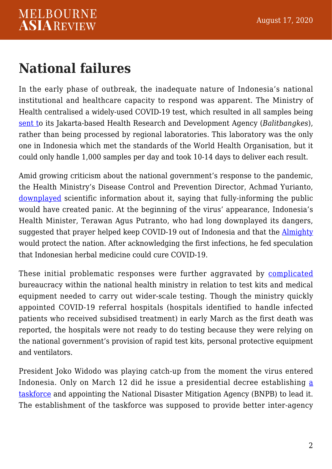## **National failures**

In the early phase of outbreak, the inadequate nature of Indonesia's national institutional and healthcare capacity to respond was apparent. The Ministry of Health centralised a widely-used COVID-19 test, which resulted in all samples being [sent to](https://www.sciencemag.org/news/2020/03/indonesia-finally-reports-two-coronavirus-cases-scientists-worry-it-has-many-more) its Jakarta-based Health Research and Development Agency (*Balitbangkes*), rather than being processed by regional laboratories. This laboratory was the only one in Indonesia which met the standards of the World Health Organisation, but it could only handle 1,000 samples per day and took 10-14 days to deliver each result.

Amid growing criticism about the national government's response to the pandemic, the Health Ministry's Disease Control and Prevention Director, Achmad Yurianto, [downplayed](https://melbourneasiareview.edu.au/about:blank) scientific information about it, saying that fully-informing the public would have created panic. At the beginning of the virus' appearance, Indonesia's Health Minister, Terawan Agus Putranto, who had long downplayed its dangers, suggested that prayer helped keep COVID-19 out of Indonesia and that the [Almighty](https://melbourneasiareview.edu.au/about:blank) would protect the nation. After acknowledging the first infections, he fed speculation that Indonesian herbal medicine could cure COVID-19.

These initial problematic responses were further aggravated by [complicated](https://melbourneasiareview.edu.au/about:blank) bureaucracy within the national health ministry in relation to test kits and medical equipment needed to carry out wider-scale testing. Though the ministry quickly appointed COVID-19 referral hospitals (hospitals identified to handle infected patients who received subsidised treatment) in early March as the first death was reported, the hospitals were not ready to do testing because they were relying on the national government's provision of rapid test kits, personal protective equipment and ventilators.

President Joko Widodo was playing catch-up from the moment the virus entered Indonesia. Only on March 12 did he issue a presidential decree establishing [a](https://melbourneasiareview.edu.au/about:blank) [taskforce](https://melbourneasiareview.edu.au/about:blank) and appointing the National Disaster Mitigation Agency (BNPB) to lead it. The establishment of the taskforce was supposed to provide better inter-agency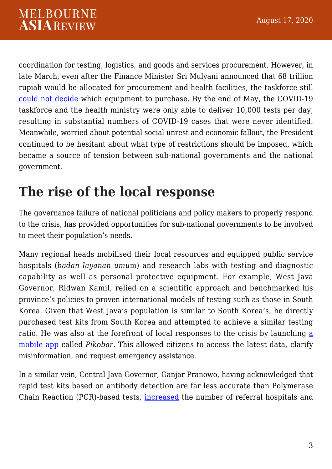coordination for testing, logistics, and goods and services procurement. However, in late March, even after the Finance Minister Sri Mulyani announced that 68 trillion rupiah would be allocated for procurement and health facilities, the taskforce still [could not decide](https://melbourneasiareview.edu.au/about:blank) which equipment to purchase. By the end of May, the COVID-19 taskforce and the health ministry were only able to deliver 10,000 tests per day, resulting in substantial numbers of COVID-19 cases that were never identified. Meanwhile, worried about potential social unrest and economic fallout, the President continued to be hesitant about what type of restrictions should be imposed, which became a source of tension between sub-national governments and the national government.

## **The rise of the local response**

The governance failure of national politicians and policy makers to properly respond to the crisis, has provided opportunities for sub-national governments to be involved to meet their population's needs.

Many regional heads mobilised their local resources and equipped public service hospitals (*badan layanan umu*m) and research labs with testing and diagnostic capability as well as personal protective equipment. For example, West Java Governor, Ridwan Kamil, relied on a scientific approach and benchmarked his province's policies to proven international models of testing such as those in South Korea. Given that West Java's population is similar to South Korea's, he directly purchased test kits from South Korea and attempted to achieve a similar testing ratio. He was also at the forefront of local responses to the crisis by launching [a](https://melbourneasiareview.edu.au/about:blank) [mobile app](https://melbourneasiareview.edu.au/about:blank) called *Pikobar.* This allowed citizens to access the latest data, clarify misinformation, and request emergency assistance.

In a similar vein, Central Java Governor, Ganjar Pranowo, having acknowledged that rapid test kits based on antibody detection are far less accurate than Polymerase Chain Reaction (PCR)-based tests, [increased](https://humas.jatengprov.go.id/detail_berita_gubernur?id=4126) the number of referral hospitals and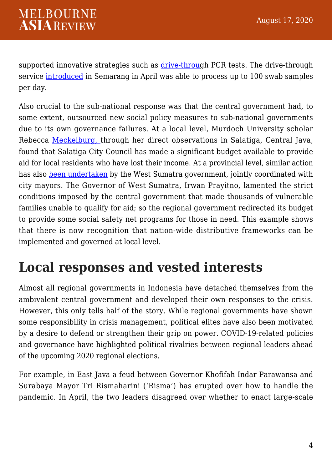supported innovative strategies such as [drive-throu](https://www.thejakartapost.com/news/2020/04/23/semarang-launches-first-drive-thru-pcr-test-for-covid-19.html)gh PCR tests. The drive-through service [introduced](https://www.thejakartapost.com/news/2020/04/23/semarang-launches-first-drive-thru-pcr-test-for-covid-19.html) in Semarang in April was able to process up to 100 swab samples per day.

Also crucial to the sub-national response was that the central government had, to some extent, outsourced new social policy measures to sub-national governments due to its own governance failures. At a local level, Murdoch University scholar Rebecca [Meckelburg,](https://melbourneasiareview.edu.au/about:blank) through her direct observations in Salatiga, Central Java, found that Salatiga City Council has made a significant budget available to provide aid for local residents who have lost their income. At a provincial level, similar action has also [been undertaken](https://minangkabaunews.com/artikel-26372-1368-warga-terdampak-covid19-terima-blt-ini-kata-wali-kota-bukittinggi.html) by the West Sumatra government, jointly coordinated with city mayors. The Governor of West Sumatra, Irwan Prayitno, lamented the strict conditions imposed by the central government that made thousands of vulnerable families unable to qualify for aid; so the regional government redirected its budget to provide some social safety net programs for those in need. This example shows that there is now recognition that nation-wide distributive frameworks can be implemented and governed at local level.

## **Local responses and vested interests**

Almost all regional governments in Indonesia have detached themselves from the ambivalent central government and developed their own responses to the crisis. However, this only tells half of the story. While regional governments have shown some responsibility in crisis management, political elites have also been motivated by a desire to defend or strengthen their grip on power. COVID-19-related policies and governance have highlighted political rivalries between regional leaders ahead of the upcoming 2020 regional elections.

For example, in East Java a feud between Governor Khofifah Indar Parawansa and Surabaya Mayor Tri Rismaharini ('Risma') has erupted over how to handle the pandemic. In April, the two leaders disagreed over whether to enact large-scale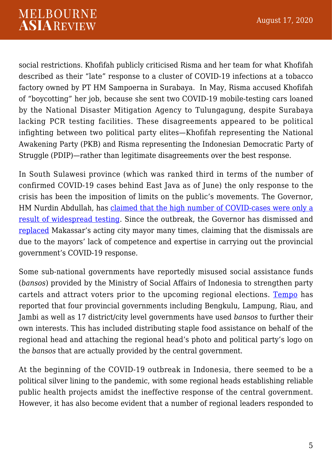social restrictions. Khofifah publicly criticised Risma and her team for what Khofifah described as their "late" response to a cluster of COVID-19 infections at a tobacco factory owned by PT HM Sampoerna in Surabaya. In May, Risma accused Khofifah of "boycotting" her job, because she sent two COVID-19 mobile-testing cars loaned by the National Disaster Mitigation Agency to Tulungagung, despite Surabaya lacking PCR testing facilities. These disagreements appeared to be political infighting between two political party elites—Khofifah representing the National Awakening Party (PKB) and Risma representing the Indonesian Democratic Party of Struggle (PDIP)—rather than legitimate disagreements over the best response.

In South Sulawesi province (which was ranked third in terms of the number of confirmed COVID-19 cases behind East Java as of June) the only response to the crisis has been the imposition of limits on the public's movements. The Governor, HM Nurdin Abdullah, has [claimed that the high number of COVID-cases were only a](https://www.thejakartapost.com/news/2020/06/14/it-shows-that-were-working-south-sulawesi-governor-says-of-surge-in-covid-19-cases.html) [result of widespread testing.](https://www.thejakartapost.com/news/2020/06/14/it-shows-that-were-working-south-sulawesi-governor-says-of-surge-in-covid-19-cases.html) Since the outbreak, the Governor has dismissed and [replaced](https://www.youtube.com/watch?v=wqKGwSrphbY) Makassar's acting city mayor many times, claiming that the dismissals are due to the mayors' lack of competence and expertise in carrying out the provincial government's COVID-19 response.

Some sub-national governments have reportedly misused social assistance funds (*bansos*) provided by the Ministry of Social Affairs of Indonesia to strengthen party cartels and attract voters prior to the upcoming regional elections. [Tempo](https://koran.tempo.co/read/berita-utama/456384/pengelolaan-pkh-oleh-kader-partai-rawan-konflik-kepentingan) has reported that four provincial governments including Bengkulu, Lampung, Riau, and Jambi as well as 17 district/city level governments have used *bansos* to further their own interests*.* This has included distributing staple food assistance on behalf of the regional head and attaching the regional head's photo and political party's logo on the *bansos* that are actually provided by the central government.

At the beginning of the COVID-19 outbreak in Indonesia, there seemed to be a political silver lining to the pandemic, with some regional heads establishing reliable public health projects amidst the ineffective response of the central government. However, it has also become evident that a number of regional leaders responded to